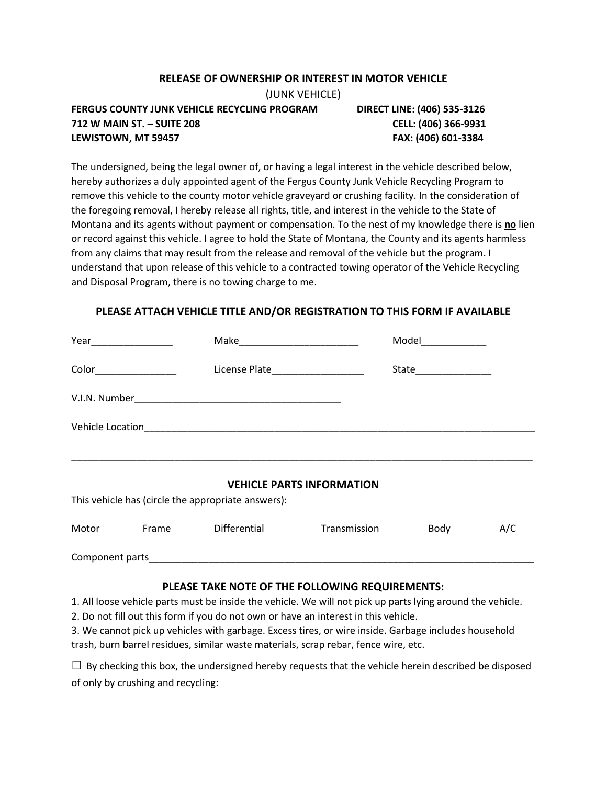## **RELEASE OF OWNERSHIP OR INTEREST IN MOTOR VEHICLE**

(JUNK VEHICLE)

**FERGUS COUNTY JUNK VEHICLE RECYCLING PROGRAM DIRECT LINE: (406) 535-3126 712 W MAIN ST. – SUITE 208 CELL: (406) 366-9931 LEWISTOWN, MT 59457 FAX: (406) 601-3384**

The undersigned, being the legal owner of, or having a legal interest in the vehicle described below, hereby authorizes a duly appointed agent of the Fergus County Junk Vehicle Recycling Program to remove this vehicle to the county motor vehicle graveyard or crushing facility. In the consideration of the foregoing removal, I hereby release all rights, title, and interest in the vehicle to the State of Montana and its agents without payment or compensation. To the nest of my knowledge there is **no** lien or record against this vehicle. I agree to hold the State of Montana, the County and its agents harmless from any claims that may result from the release and removal of the vehicle but the program. I understand that upon release of this vehicle to a contracted towing operator of the Vehicle Recycling and Disposal Program, there is no towing charge to me.

## **PLEASE ATTACH VEHICLE TITLE AND/OR REGISTRATION TO THIS FORM IF AVAILABLE**

| Make_____________________________ |                                                    |                                                                                                            |                      |     |
|-----------------------------------|----------------------------------------------------|------------------------------------------------------------------------------------------------------------|----------------------|-----|
|                                   |                                                    |                                                                                                            | State_______________ |     |
|                                   |                                                    |                                                                                                            |                      |     |
|                                   |                                                    |                                                                                                            |                      |     |
|                                   | This vehicle has (circle the appropriate answers): | <b>VEHICLE PARTS INFORMATION</b>                                                                           |                      |     |
|                                   |                                                    | Motor Frame Differential Transmission Body                                                                 |                      | A/C |
|                                   |                                                    |                                                                                                            |                      |     |
|                                   |                                                    | PLEASE TAKE NOTE OF THE FOLLOWING REQUIREMENTS:                                                            |                      |     |
|                                   |                                                    | 1. All loose vehicle parts must be inside the vehicle. We will not pick up parts lying around the vehicle. |                      |     |
|                                   |                                                    | 2. Do not fill out this form if you do not own or have an interest in this vehicle.                        |                      |     |
|                                   |                                                    | 3. We cannot pick up vehicles with garbage. Excess tires, or wire inside. Garbage includes household       |                      |     |

trash, burn barrel residues, similar waste materials, scrap rebar, fence wire, etc.

 $\Box$  By checking this box, the undersigned hereby requests that the vehicle herein described be disposed of only by crushing and recycling: